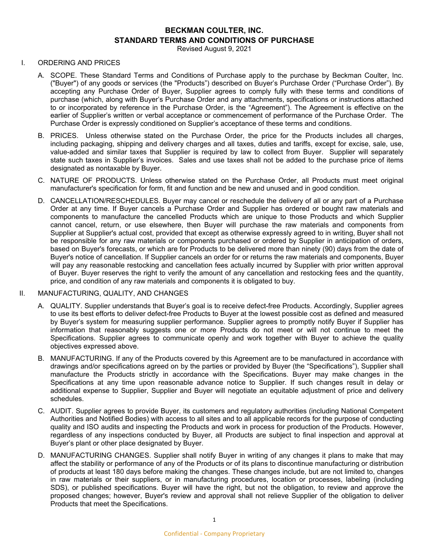# **BECKMAN COULTER, INC. STANDARD TERMS AND CONDITIONS OF PURCHASE**

Revised August 9, 2021

#### I. ORDERING AND PRICES

- A. SCOPE. These Standard Terms and Conditions of Purchase apply to the purchase by Beckman Coulter, Inc. ("Buyer") of any goods or services (the "Products") described on Buyer's Purchase Order ("Purchase Order"). By accepting any Purchase Order of Buyer, Supplier agrees to comply fully with these terms and conditions of purchase (which, along with Buyer's Purchase Order and any attachments, specifications or instructions attached to or incorporated by reference in the Purchase Order, is the "Agreement"). The Agreement is effective on the earlier of Supplier's written or verbal acceptance or commencement of performance of the Purchase Order. The Purchase Order is expressly conditioned on Supplier's acceptance of these terms and conditions.
- B. PRICES. Unless otherwise stated on the Purchase Order, the price for the Products includes all charges, including packaging, shipping and delivery charges and all taxes, duties and tariffs, except for excise, sale, use, value-added and similar taxes that Supplier is required by law to collect from Buyer. Supplier will separately state such taxes in Supplier's invoices. Sales and use taxes shall not be added to the purchase price of items designated as nontaxable by Buyer.
- C. NATURE OF PRODUCTS. Unless otherwise stated on the Purchase Order, all Products must meet original manufacturer's specification for form, fit and function and be new and unused and in good condition.
- D. CANCELLATION/RESCHEDULES. Buyer may cancel or reschedule the delivery of all or any part of a Purchase Order at any time. If Buyer cancels a Purchase Order and Supplier has ordered or bought raw materials and components to manufacture the cancelled Products which are unique to those Products and which Supplier cannot cancel, return, or use elsewhere, then Buyer will purchase the raw materials and components from Supplier at Supplier's actual cost, provided that except as otherwise expressly agreed to in writing, Buyer shall not be responsible for any raw materials or components purchased or ordered by Supplier in anticipation of orders, based on Buyer's forecasts, or which are for Products to be delivered more than ninety (90) days from the date of Buyer's notice of cancellation. If Supplier cancels an order for or returns the raw materials and components, Buyer will pay any reasonable restocking and cancellation fees actually incurred by Supplier with prior written approval of Buyer. Buyer reserves the right to verify the amount of any cancellation and restocking fees and the quantity, price, and condition of any raw materials and components it is obligated to buy.

## II. MANUFACTURING, QUALITY, AND CHANGES

- A. QUALITY. Supplier understands that Buyer's goal is to receive defect-free Products. Accordingly, Supplier agrees to use its best efforts to deliver defect-free Products to Buyer at the lowest possible cost as defined and measured by Buyer's system for measuring supplier performance. Supplier agrees to promptly notify Buyer if Supplier has information that reasonably suggests one or more Products do not meet or will not continue to meet the Specifications. Supplier agrees to communicate openly and work together with Buyer to achieve the quality objectives expressed above.
- B. MANUFACTURING. If any of the Products covered by this Agreement are to be manufactured in accordance with drawings and/or specifications agreed on by the parties or provided by Buyer (the "Specifications"), Supplier shall manufacture the Products strictly in accordance with the Specifications. Buyer may make changes in the Specifications at any time upon reasonable advance notice to Supplier. If such changes result in delay or additional expense to Supplier, Supplier and Buyer will negotiate an equitable adjustment of price and delivery schedules.
- C. AUDIT. Supplier agrees to provide Buyer, its customers and regulatory authorities (including National Competent Authorities and Notified Bodies) with access to all sites and to all applicable records for the purpose of conducting quality and ISO audits and inspecting the Products and work in process for production of the Products. However, regardless of any inspections conducted by Buyer, all Products are subject to final inspection and approval at Buyer's plant or other place designated by Buyer.
- D. MANUFACTURING CHANGES. Supplier shall notify Buyer in writing of any changes it plans to make that may affect the stability or performance of any of the Products or of its plans to discontinue manufacturing or distribution of products at least 180 days before making the changes. These changes include, but are not limited to, changes in raw materials or their suppliers, or in manufacturing procedures, location or processes, labeling (including SDS), or published specifications. Buyer will have the right, but not the obligation, to review and approve the proposed changes; however, Buyer's review and approval shall not relieve Supplier of the obligation to deliver Products that meet the Specifications.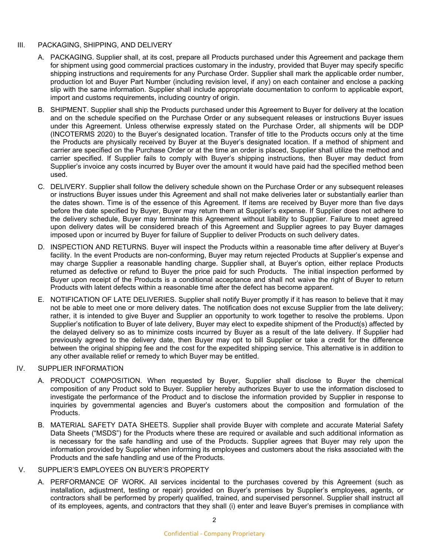#### III. PACKAGING, SHIPPING, AND DELIVERY

- A. PACKAGING. Supplier shall, at its cost, prepare all Products purchased under this Agreement and package them for shipment using good commercial practices customary in the industry, provided that Buyer may specify specific shipping instructions and requirements for any Purchase Order. Supplier shall mark the applicable order number, production lot and Buyer Part Number (including revision level, if any) on each container and enclose a packing slip with the same information. Supplier shall include appropriate documentation to conform to applicable export, import and customs requirements, including country of origin.
- B. SHIPMENT. Supplier shall ship the Products purchased under this Agreement to Buyer for delivery at the location and on the schedule specified on the Purchase Order or any subsequent releases or instructions Buyer issues under this Agreement. Unless otherwise expressly stated on the Purchase Order, all shipments will be DDP (INCOTERMS 2020) to the Buyer's designated location. Transfer of title to the Products occurs only at the time the Products are physically received by Buyer at the Buyer's designated location. If a method of shipment and carrier are specified on the Purchase Order or at the time an order is placed, Supplier shall utilize the method and carrier specified. If Supplier fails to comply with Buyer's shipping instructions, then Buyer may deduct from Supplier's invoice any costs incurred by Buyer over the amount it would have paid had the specified method been used.
- C. DELIVERY. Supplier shall follow the delivery schedule shown on the Purchase Order or any subsequent releases or instructions Buyer issues under this Agreement and shall not make deliveries later or substantially earlier than the dates shown. Time is of the essence of this Agreement. If items are received by Buyer more than five days before the date specified by Buyer, Buyer may return them at Supplier's expense. If Supplier does not adhere to the delivery schedule, Buyer may terminate this Agreement without liability to Supplier. Failure to meet agreed upon delivery dates will be considered breach of this Agreement and Supplier agrees to pay Buyer damages imposed upon or incurred by Buyer for failure of Supplier to deliver Products on such delivery dates.
- D. INSPECTION AND RETURNS. Buyer will inspect the Products within a reasonable time after delivery at Buyer's facility. In the event Products are non-conforming, Buyer may return rejected Products at Supplier's expense and may charge Supplier a reasonable handling charge. Supplier shall, at Buyer's option, either replace Products returned as defective or refund to Buyer the price paid for such Products. The initial inspection performed by Buyer upon receipt of the Products is a conditional acceptance and shall not waive the right of Buyer to return Products with latent defects within a reasonable time after the defect has become apparent.
- E. NOTIFICATION OF LATE DELIVERIES. Supplier shall notify Buyer promptly if it has reason to believe that it may not be able to meet one or more delivery dates. The notification does not excuse Supplier from the late delivery; rather, it is intended to give Buyer and Supplier an opportunity to work together to resolve the problems. Upon Supplier's notification to Buyer of late delivery, Buyer may elect to expedite shipment of the Product(s) affected by the delayed delivery so as to minimize costs incurred by Buyer as a result of the late delivery. If Supplier had previously agreed to the delivery date, then Buyer may opt to bill Supplier or take a credit for the difference between the original shipping fee and the cost for the expedited shipping service. This alternative is in addition to any other available relief or remedy to which Buyer may be entitled.

#### IV. SUPPLIER INFORMATION

- A. PRODUCT COMPOSITION. When requested by Buyer, Supplier shall disclose to Buyer the chemical composition of any Product sold to Buyer. Supplier hereby authorizes Buyer to use the information disclosed to investigate the performance of the Product and to disclose the information provided by Supplier in response to inquiries by governmental agencies and Buyer's customers about the composition and formulation of the Products.
- B. MATERIAL SAFETY DATA SHEETS. Supplier shall provide Buyer with complete and accurate Material Safety Data Sheets ("MSDS") for the Products where these are required or available and such additional information as is necessary for the safe handling and use of the Products. Supplier agrees that Buyer may rely upon the information provided by Supplier when informing its employees and customers about the risks associated with the Products and the safe handling and use of the Products.

#### V. SUPPLIER'S EMPLOYEES ON BUYER'S PROPERTY

A. PERFORMANCE OF WORK. All services incidental to the purchases covered by this Agreement (such as installation, adjustment, testing or repair) provided on Buyer's premises by Supplier's employees, agents, or contractors shall be performed by properly qualified, trained, and supervised personnel. Supplier shall instruct all of its employees, agents, and contractors that they shall (i) enter and leave Buyer's premises in compliance with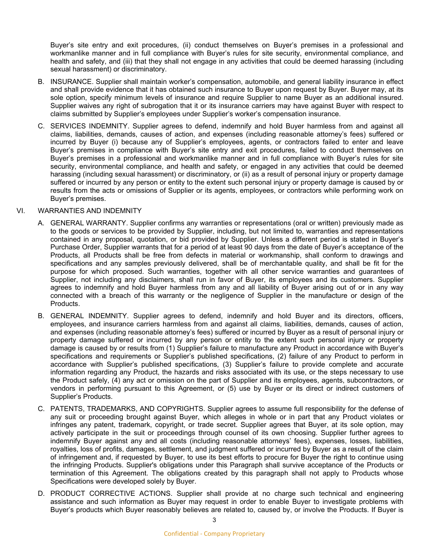Buyer's site entry and exit procedures, (ii) conduct themselves on Buyer's premises in a professional and workmanlike manner and in full compliance with Buyer's rules for site security, environmental compliance, and health and safety, and (iii) that they shall not engage in any activities that could be deemed harassing (including sexual harassment) or discriminatory.

- B. INSURANCE. Supplier shall maintain worker's compensation, automobile, and general liability insurance in effect and shall provide evidence that it has obtained such insurance to Buyer upon request by Buyer. Buyer may, at its sole option, specify minimum levels of insurance and require Supplier to name Buyer as an additional insured. Supplier waives any right of subrogation that it or its insurance carriers may have against Buyer with respect to claims submitted by Supplier's employees under Supplier's worker's compensation insurance.
- C. SERVICES INDEMNITY. Supplier agrees to defend, indemnify and hold Buyer harmless from and against all claims, liabilities, demands, causes of action, and expenses (including reasonable attorney's fees) suffered or incurred by Buyer (i) because any of Supplier's employees, agents, or contractors failed to enter and leave Buyer's premises in compliance with Buyer's site entry and exit procedures, failed to conduct themselves on Buyer's premises in a professional and workmanlike manner and in full compliance with Buyer's rules for site security, environmental compliance, and health and safety, or engaged in any activities that could be deemed harassing (including sexual harassment) or discriminatory, or (ii) as a result of personal injury or property damage suffered or incurred by any person or entity to the extent such personal injury or property damage is caused by or results from the acts or omissions of Supplier or its agents, employees, or contractors while performing work on Buyer's premises.

#### VI. WARRANTIES AND INDEMNITY

- A. GENERAL WARRANTY. Supplier confirms any warranties or representations (oral or written) previously made as to the goods or services to be provided by Supplier, including, but not limited to, warranties and representations contained in any proposal, quotation, or bid provided by Supplier. Unless a different period is stated in Buyer's Purchase Order, Supplier warrants that for a period of at least 90 days from the date of Buyer's acceptance of the Products, all Products shall be free from defects in material or workmanship, shall conform to drawings and specifications and any samples previously delivered, shall be of merchantable quality, and shall be fit for the purpose for which proposed. Such warranties, together with all other service warranties and guarantees of Supplier, not including any disclaimers, shall run in favor of Buyer, its employees and its customers. Supplier agrees to indemnify and hold Buyer harmless from any and all liability of Buyer arising out of or in any way connected with a breach of this warranty or the negligence of Supplier in the manufacture or design of the Products.
- B. GENERAL INDEMNITY. Supplier agrees to defend, indemnify and hold Buyer and its directors, officers, employees, and insurance carriers harmless from and against all claims, liabilities, demands, causes of action, and expenses (including reasonable attorney's fees) suffered or incurred by Buyer as a result of personal injury or property damage suffered or incurred by any person or entity to the extent such personal injury or property damage is caused by or results from (1) Supplier's failure to manufacture any Product in accordance with Buyer's specifications and requirements or Supplier's published specifications, (2) failure of any Product to perform in accordance with Supplier's published specifications, (3) Supplier's failure to provide complete and accurate information regarding any Product, the hazards and risks associated with its use, or the steps necessary to use the Product safely, (4) any act or omission on the part of Supplier and its employees, agents, subcontractors, or vendors in performing pursuant to this Agreement, or (5) use by Buyer or its direct or indirect customers of Supplier's Products.
- C. PATENTS, TRADEMARKS, AND COPYRIGHTS. Supplier agrees to assume full responsibility for the defense of any suit or proceeding brought against Buyer, which alleges in whole or in part that any Product violates or infringes any patent, trademark, copyright, or trade secret. Supplier agrees that Buyer, at its sole option, may actively participate in the suit or proceedings through counsel of its own choosing. Supplier further agrees to indemnify Buyer against any and all costs (including reasonable attorneys' fees), expenses, losses, liabilities, royalties, loss of profits, damages, settlement, and judgment suffered or incurred by Buyer as a result of the claim of infringement and, if requested by Buyer, to use its best efforts to procure for Buyer the right to continue using the infringing Products. Supplier's obligations under this Paragraph shall survive acceptance of the Products or termination of this Agreement. The obligations created by this paragraph shall not apply to Products whose Specifications were developed solely by Buyer.
- D. PRODUCT CORRECTIVE ACTIONS. Supplier shall provide at no charge such technical and engineering assistance and such information as Buyer may request in order to enable Buyer to investigate problems with Buyer's products which Buyer reasonably believes are related to, caused by, or involve the Products. If Buyer is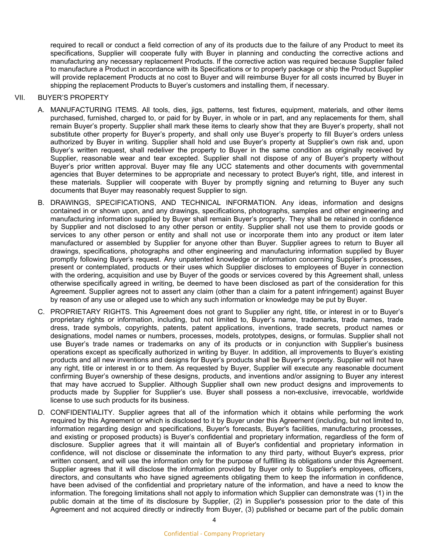required to recall or conduct a field correction of any of its products due to the failure of any Product to meet its specifications, Supplier will cooperate fully with Buyer in planning and conducting the corrective actions and manufacturing any necessary replacement Products. If the corrective action was required because Supplier failed to manufacture a Product in accordance with its Specifications or to properly package or ship the Product Supplier will provide replacement Products at no cost to Buyer and will reimburse Buyer for all costs incurred by Buyer in shipping the replacement Products to Buyer's customers and installing them, if necessary.

#### VII. BUYER'S PROPERTY

- A. MANUFACTURING ITEMS. All tools, dies, jigs, patterns, test fixtures, equipment, materials, and other items purchased, furnished, charged to, or paid for by Buyer, in whole or in part, and any replacements for them, shall remain Buyer's property. Supplier shall mark these items to clearly show that they are Buyer's property, shall not substitute other property for Buyer's property, and shall only use Buyer's property to fill Buyer's orders unless authorized by Buyer in writing. Supplier shall hold and use Buyer's property at Supplier's own risk and, upon Buyer's written request, shall redeliver the property to Buyer in the same condition as originally received by Supplier, reasonable wear and tear excepted. Supplier shall not dispose of any of Buyer's property without Buyer's prior written approval. Buyer may file any UCC statements and other documents with governmental agencies that Buyer determines to be appropriate and necessary to protect Buyer's right, title, and interest in these materials. Supplier will cooperate with Buyer by promptly signing and returning to Buyer any such documents that Buyer may reasonably request Supplier to sign.
- B. DRAWINGS, SPECIFICATIONS, AND TECHNICAL INFORMATION. Any ideas, information and designs contained in or shown upon, and any drawings, specifications, photographs, samples and other engineering and manufacturing information supplied by Buyer shall remain Buyer's property. They shall be retained in confidence by Supplier and not disclosed to any other person or entity. Supplier shall not use them to provide goods or services to any other person or entity and shall not use or incorporate them into any product or item later manufactured or assembled by Supplier for anyone other than Buyer. Supplier agrees to return to Buyer all drawings, specifications, photographs and other engineering and manufacturing information supplied by Buyer promptly following Buyer's request. Any unpatented knowledge or information concerning Supplier's processes, present or contemplated, products or their uses which Supplier discloses to employees of Buyer in connection with the ordering, acquisition and use by Buyer of the goods or services covered by this Agreement shall, unless otherwise specifically agreed in writing, be deemed to have been disclosed as part of the consideration for this Agreement. Supplier agrees not to assert any claim (other than a claim for a patent infringement) against Buyer by reason of any use or alleged use to which any such information or knowledge may be put by Buyer.
- C. PROPRIETARY RIGHTS. This Agreement does not grant to Supplier any right, title, or interest in or to Buyer's proprietary rights or information, including, but not limited to, Buyer's name, trademarks, trade names, trade dress, trade symbols, copyrights, patents, patent applications, inventions, trade secrets, product names or designations, model names or numbers, processes, models, prototypes, designs, or formulas. Supplier shall not use Buyer's trade names or trademarks on any of its products or in conjunction with Supplier's business operations except as specifically authorized in writing by Buyer. In addition, all improvements to Buyer's existing products and all new inventions and designs for Buyer's products shall be Buyer's property. Supplier will not have any right, title or interest in or to them. As requested by Buyer, Supplier will execute any reasonable document confirming Buyer's ownership of these designs, products, and inventions and/or assigning to Buyer any interest that may have accrued to Supplier. Although Supplier shall own new product designs and improvements to products made by Supplier for Supplier's use. Buyer shall possess a non-exclusive, irrevocable, worldwide license to use such products for its business.
- D. CONFIDENTIALITY. Supplier agrees that all of the information which it obtains while performing the work required by this Agreement or which is disclosed to it by Buyer under this Agreement (including, but not limited to, information regarding design and specifications, Buyer's forecasts, Buyer's facilities, manufacturing processes, and existing or proposed products) is Buyer's confidential and proprietary information, regardless of the form of disclosure. Supplier agrees that it will maintain all of Buyer's confidential and proprietary information in confidence, will not disclose or disseminate the information to any third party, without Buyer's express, prior written consent, and will use the information only for the purpose of fulfilling its obligations under this Agreement. Supplier agrees that it will disclose the information provided by Buyer only to Supplier's employees, officers, directors, and consultants who have signed agreements obligating them to keep the information in confidence, have been advised of the confidential and proprietary nature of the information, and have a need to know the information. The foregoing limitations shall not apply to information which Supplier can demonstrate was (1) in the public domain at the time of its disclosure by Supplier, (2) in Supplier's possession prior to the date of this Agreement and not acquired directly or indirectly from Buyer, (3) published or became part of the public domain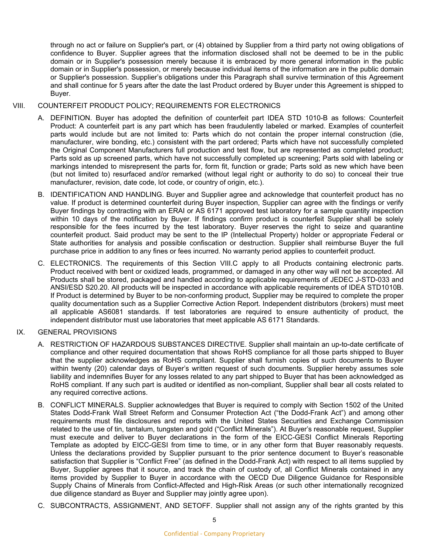through no act or failure on Supplier's part, or (4) obtained by Supplier from a third party not owing obligations of confidence to Buyer. Supplier agrees that the information disclosed shall not be deemed to be in the public domain or in Supplier's possession merely because it is embraced by more general information in the public domain or in Supplier's possession, or merely because individual items of the information are in the public domain or Supplier's possession. Supplier's obligations under this Paragraph shall survive termination of this Agreement and shall continue for 5 years after the date the last Product ordered by Buyer under this Agreement is shipped to Buyer.

## VIII. COUNTERFEIT PRODUCT POLICY; REQUIREMENTS FOR ELECTRONICS

- A. DEFINITION. Buyer has adopted the definition of counterfeit part IDEA STD 1010-B as follows: Counterfeit Product: A counterfeit part is any part which has been fraudulently labeled or marked. Examples of counterfeit parts would include but are not limited to: Parts which do not contain the proper internal construction (die, manufacturer, wire bonding, etc.) consistent with the part ordered; Parts which have not successfully completed the Original Component Manufacturers full production and test flow, but are represented as completed product; Parts sold as up screened parts, which have not successfully completed up screening; Parts sold with labeling or markings intended to misrepresent the parts for, form fit, function or grade; Parts sold as new which have been (but not limited to) resurfaced and/or remarked (without legal right or authority to do so) to conceal their true manufacturer, revision, date code, lot code, or country of origin, etc.).
- B. IDENTIFICATION AND HANDLING. Buyer and Supplier agree and acknowledge that counterfeit product has no value. If product is determined counterfeit during Buyer inspection, Supplier can agree with the findings or verify Buyer findings by contracting with an ERAI or AS 6171 approved test laboratory for a sample quantity inspection within 10 days of the notification by Buyer. If findings confirm product is counterfeit Supplier shall be solely responsible for the fees incurred by the test laboratory. Buyer reserves the right to seize and quarantine counterfeit product. Said product may be sent to the IP (Intellectual Property) holder or appropriate Federal or State authorities for analysis and possible confiscation or destruction. Supplier shall reimburse Buyer the full purchase price in addition to any fines or fees incurred. No warranty period applies to counterfeit product.
- C. ELECTRONICS. The requirements of this Section VIII.C apply to all Products containing electronic parts. Product received with bent or oxidized leads, programmed, or damaged in any other way will not be accepted. All Products shall be stored, packaged and handled according to applicable requirements of JEDEC J-STD-033 and ANSI/ESD S20.20. All products will be inspected in accordance with applicable requirements of IDEA STD1010B. If Product is determined by Buyer to be non-conforming product, Supplier may be required to complete the proper quality documentation such as a Supplier Corrective Action Report. Independent distributors (brokers) must meet all applicable AS6081 standards. If test laboratories are required to ensure authenticity of product, the independent distributor must use laboratories that meet applicable AS 6171 Standards.

# IX. GENERAL PROVISIONS

- A. RESTRICTION OF HAZARDOUS SUBSTANCES DIRECTIVE. Supplier shall maintain an up-to-date certificate of compliance and other required documentation that shows RoHS compliance for all those parts shipped to Buyer that the supplier acknowledges as RoHS compliant. Supplier shall furnish copies of such documents to Buyer within twenty (20) calendar days of Buyer's written request of such documents. Supplier hereby assumes sole liability and indemnifies Buyer for any losses related to any part shipped to Buyer that has been acknowledged as RoHS compliant. If any such part is audited or identified as non-compliant, Supplier shall bear all costs related to any required corrective actions.
- B. CONFLICT MINERALS. Supplier acknowledges that Buyer is required to comply with Section 1502 of the United States Dodd-Frank Wall Street Reform and Consumer Protection Act ("the Dodd-Frank Act") and among other requirements must file disclosures and reports with the United States Securities and Exchange Commission related to the use of tin, tantalum, tungsten and gold ("Conflict Minerals"). At Buyer's reasonable request, Supplier must execute and deliver to Buyer declarations in the form of the EICC-GESI Conflict Minerals Reporting Template as adopted by EICC-GESI from time to time, or in any other form that Buyer reasonably requests. Unless the declarations provided by Supplier pursuant to the prior sentence document to Buyer's reasonable satisfaction that Supplier is "Conflict Free" (as defined in the Dodd-Frank Act) with respect to all items supplied by Buyer, Supplier agrees that it source, and track the chain of custody of, all Conflict Minerals contained in any items provided by Supplier to Buyer in accordance with the OECD Due Diligence Guidance for Responsible Supply Chains of Minerals from Conflict-Affected and High-Risk Areas (or such other internationally recognized due diligence standard as Buyer and Supplier may jointly agree upon).
- C. SUBCONTRACTS, ASSIGNMENT, AND SETOFF. Supplier shall not assign any of the rights granted by this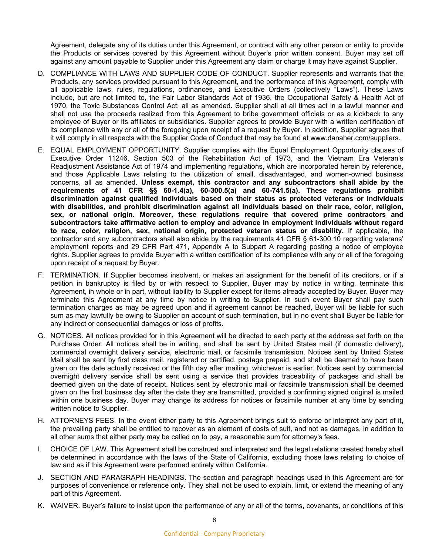Agreement, delegate any of its duties under this Agreement, or contract with any other person or entity to provide the Products or services covered by this Agreement without Buyer's prior written consent. Buyer may set off against any amount payable to Supplier under this Agreement any claim or charge it may have against Supplier.

- D. COMPLIANCE WITH LAWS AND SUPPLIER CODE OF CONDUCT. Supplier represents and warrants that the Products, any services provided pursuant to this Agreement, and the performance of this Agreement, comply with all applicable laws, rules, regulations, ordinances, and Executive Orders (collectively "Laws"). These Laws include, but are not limited to, the Fair Labor Standards Act of 1936, the Occupational Safety & Health Act of 1970, the Toxic Substances Control Act; all as amended. Supplier shall at all times act in a lawful manner and shall not use the proceeds realized from this Agreement to bribe government officials or as a kickback to any employee of Buyer or its affiliates or subsidiaries. Supplier agrees to provide Buyer with a written certification of its compliance with any or all of the foregoing upon receipt of a request by Buyer. In addition, Supplier agrees that it will comply in all respects with the Supplier Code of Conduct that may be found at www.danaher.com/suppliers.
- E. EQUAL EMPLOYMENT OPPORTUNITY. Supplier complies with the Equal Employment Opportunity clauses of Executive Order 11246, Section 503 of the Rehabilitation Act of 1973, and the Vietnam Era Veteran's Readjustment Assistance Act of 1974 and implementing regulations, which are incorporated herein by reference, and those Applicable Laws relating to the utilization of small, disadvantaged, and women-owned business concerns, all as amended. **Unless exempt, this contractor and any subcontractors shall abide by the requirements of 41 CFR §§ 60-1.4(a), 60-300.5(a) and 60-741.5(a). These regulations prohibit discrimination against qualified individuals based on their status as protected veterans or individuals with disabilities, and prohibit discrimination against all individuals based on their race, color, religion, sex, or national origin. Moreover, these regulations require that covered prime contractors and subcontractors take affirmative action to employ and advance in employment individuals without regard to race, color, religion, sex, national origin, protected veteran status or disability.** If applicable, the contractor and any subcontractors shall also abide by the requirements 41 CFR § 61-300.10 regarding veterans' employment reports and 29 CFR Part 471, Appendix A to Subpart A regarding posting a notice of employee rights. Supplier agrees to provide Buyer with a written certification of its compliance with any or all of the foregoing upon receipt of a request by Buyer.
- F. TERMINATION. If Supplier becomes insolvent, or makes an assignment for the benefit of its creditors, or if a petition in bankruptcy is filed by or with respect to Supplier, Buyer may by notice in writing, terminate this Agreement, in whole or in part, without liability to Supplier except for items already accepted by Buyer. Buyer may terminate this Agreement at any time by notice in writing to Supplier. In such event Buyer shall pay such termination charges as may be agreed upon and if agreement cannot be reached, Buyer will be liable for such sum as may lawfully be owing to Supplier on account of such termination, but in no event shall Buyer be liable for any indirect or consequential damages or loss of profits.
- G. NOTICES. All notices provided for in this Agreement will be directed to each party at the address set forth on the Purchase Order. All notices shall be in writing, and shall be sent by United States mail (if domestic delivery), commercial overnight delivery service, electronic mail, or facsimile transmission. Notices sent by United States Mail shall be sent by first class mail, registered or certified, postage prepaid, and shall be deemed to have been given on the date actually received or the fifth day after mailing, whichever is earlier. Notices sent by commercial overnight delivery service shall be sent using a service that provides traceability of packages and shall be deemed given on the date of receipt. Notices sent by electronic mail or facsimile transmission shall be deemed given on the first business day after the date they are transmitted, provided a confirming signed original is mailed within one business day. Buyer may change its address for notices or facsimile number at any time by sending written notice to Supplier.
- H. ATTORNEYS FEES. In the event either party to this Agreement brings suit to enforce or interpret any part of it, the prevailing party shall be entitled to recover as an element of costs of suit, and not as damages, in addition to all other sums that either party may be called on to pay, a reasonable sum for attorney's fees.
- I. CHOICE OF LAW. This Agreement shall be construed and interpreted and the legal relations created hereby shall be determined in accordance with the laws of the State of California, excluding those laws relating to choice of law and as if this Agreement were performed entirely within California.
- J. SECTION AND PARAGRAPH HEADINGS. The section and paragraph headings used in this Agreement are for purposes of convenience or reference only. They shall not be used to explain, limit, or extend the meaning of any part of this Agreement.
- K. WAIVER. Buyer's failure to insist upon the performance of any or all of the terms, covenants, or conditions of this